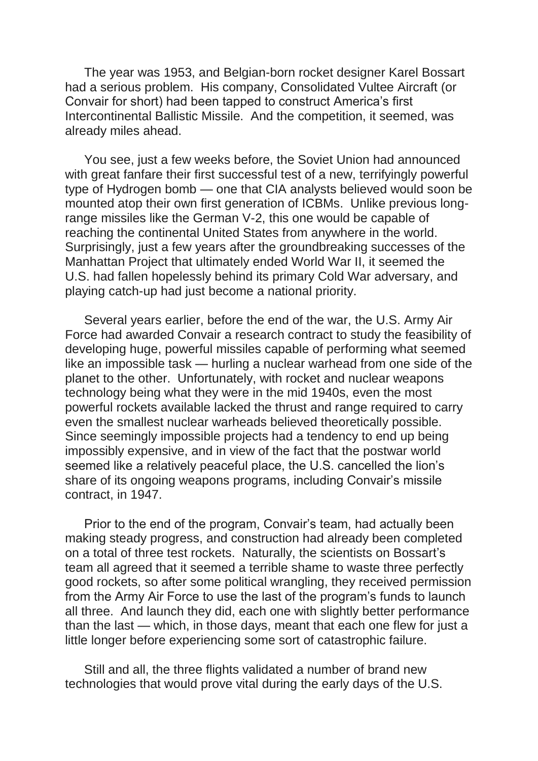The year was 1953, and Belgian-born rocket designer Karel Bossart had a serious problem. His company, Consolidated Vultee Aircraft (or Convair for short) had been tapped to construct America's first Intercontinental Ballistic Missile. And the competition, it seemed, was already miles ahead.

You see, just a few weeks before, the Soviet Union had announced with great fanfare their first successful test of a new, terrifyingly powerful type of Hydrogen bomb — one that CIA analysts believed would soon be mounted atop their own first generation of ICBMs. Unlike previous longrange missiles like the German V-2, this one would be capable of reaching the continental United States from anywhere in the world. Surprisingly, just a few years after the groundbreaking successes of the Manhattan Project that ultimately ended World War II, it seemed the U.S. had fallen hopelessly behind its primary Cold War adversary, and playing catch-up had just become a national priority.

Several years earlier, before the end of the war, the U.S. Army Air Force had awarded Convair a research contract to study the feasibility of developing huge, powerful missiles capable of performing what seemed like an impossible task — hurling a nuclear warhead from one side of the planet to the other. Unfortunately, with rocket and nuclear weapons technology being what they were in the mid 1940s, even the most powerful rockets available lacked the thrust and range required to carry even the smallest nuclear warheads believed theoretically possible. Since seemingly impossible projects had a tendency to end up being impossibly expensive, and in view of the fact that the postwar world seemed like a relatively peaceful place, the U.S. cancelled the lion's share of its ongoing weapons programs, including Convair's missile contract, in 1947.

Prior to the end of the program, Convair's team, had actually been making steady progress, and construction had already been completed on a total of three test rockets. Naturally, the scientists on Bossart's team all agreed that it seemed a terrible shame to waste three perfectly good rockets, so after some political wrangling, they received permission from the Army Air Force to use the last of the program's funds to launch all three. And launch they did, each one with slightly better performance than the last — which, in those days, meant that each one flew for just a little longer before experiencing some sort of catastrophic failure.

Still and all, the three flights validated a number of brand new technologies that would prove vital during the early days of the U.S.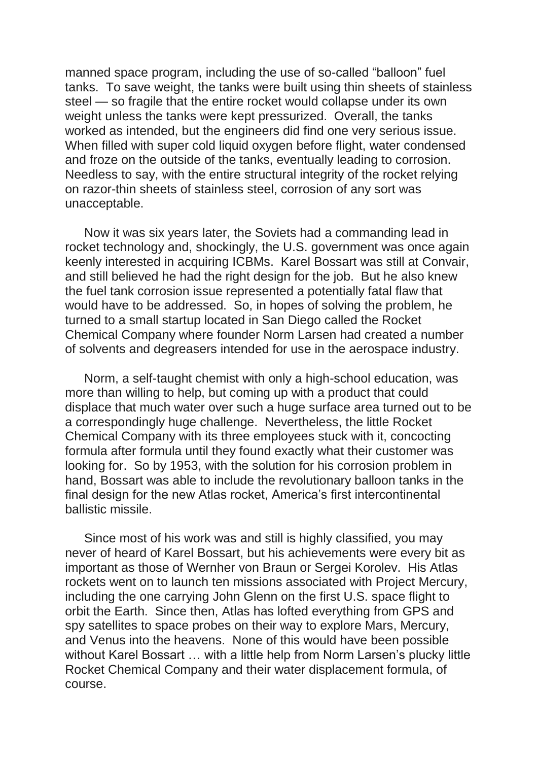manned space program, including the use of so-called "balloon" fuel tanks. To save weight, the tanks were built using thin sheets of stainless steel — so fragile that the entire rocket would collapse under its own weight unless the tanks were kept pressurized. Overall, the tanks worked as intended, but the engineers did find one very serious issue. When filled with super cold liquid oxygen before flight, water condensed and froze on the outside of the tanks, eventually leading to corrosion. Needless to say, with the entire structural integrity of the rocket relying on razor-thin sheets of stainless steel, corrosion of any sort was unacceptable.

Now it was six years later, the Soviets had a commanding lead in rocket technology and, shockingly, the U.S. government was once again keenly interested in acquiring ICBMs. Karel Bossart was still at Convair, and still believed he had the right design for the job. But he also knew the fuel tank corrosion issue represented a potentially fatal flaw that would have to be addressed. So, in hopes of solving the problem, he turned to a small startup located in San Diego called the Rocket Chemical Company where founder Norm Larsen had created a number of solvents and degreasers intended for use in the aerospace industry.

Norm, a self-taught chemist with only a high-school education, was more than willing to help, but coming up with a product that could displace that much water over such a huge surface area turned out to be a correspondingly huge challenge. Nevertheless, the little Rocket Chemical Company with its three employees stuck with it, concocting formula after formula until they found exactly what their customer was looking for. So by 1953, with the solution for his corrosion problem in hand, Bossart was able to include the revolutionary balloon tanks in the final design for the new Atlas rocket, America's first intercontinental ballistic missile.

Since most of his work was and still is highly classified, you may never of heard of Karel Bossart, but his achievements were every bit as important as those of Wernher von Braun or Sergei Korolev. His Atlas rockets went on to launch ten missions associated with Project Mercury, including the one carrying John Glenn on the first U.S. space flight to orbit the Earth. Since then, Atlas has lofted everything from GPS and spy satellites to space probes on their way to explore Mars, Mercury, and Venus into the heavens. None of this would have been possible without Karel Bossart … with a little help from Norm Larsen's plucky little Rocket Chemical Company and their water displacement formula, of course.